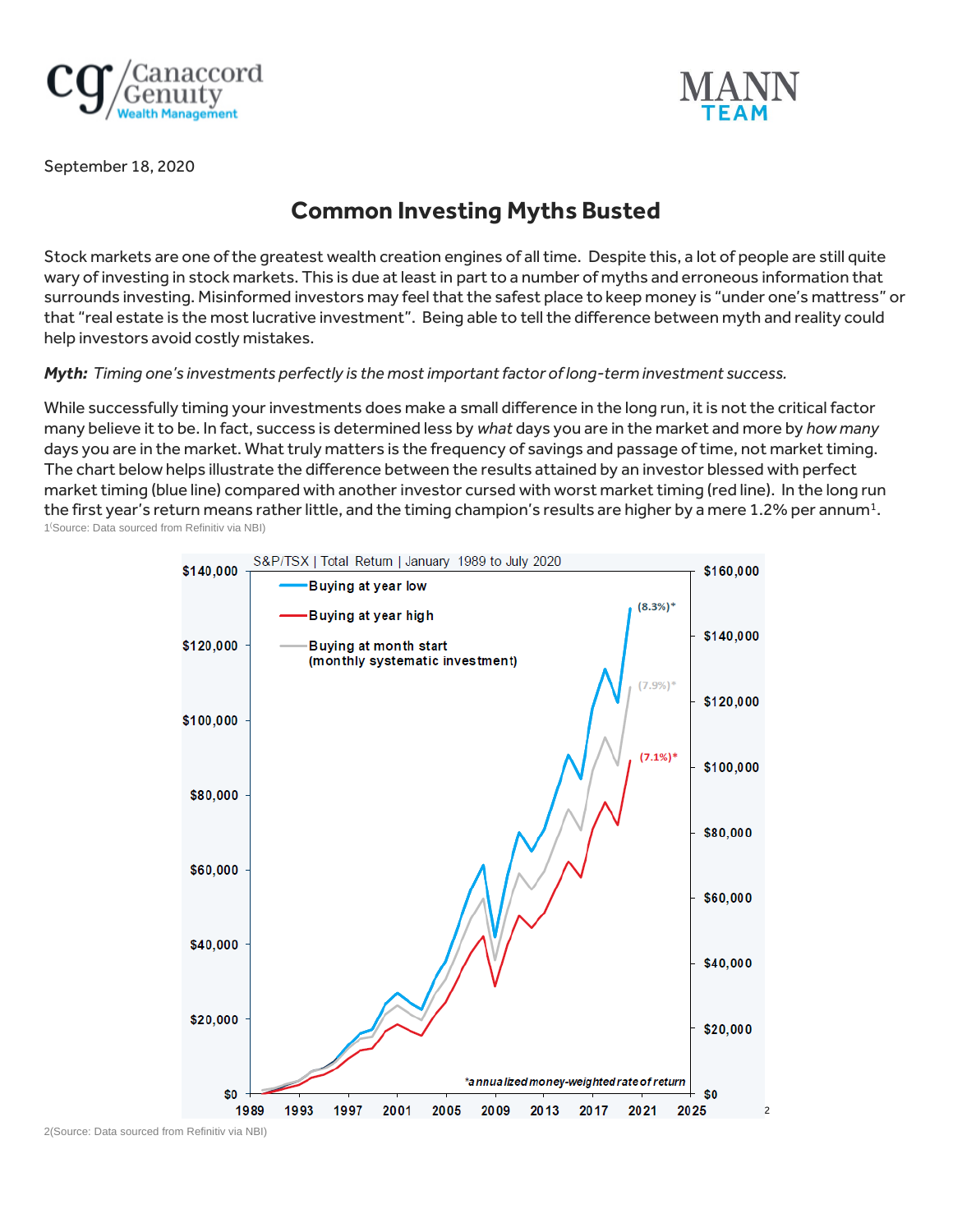



September 18, 2020

## **Common Investing Myths Busted**

Stock markets are one of the greatest wealth creation engines of all time. Despite this, a lot of people are still quite wary of investing in stock markets. This is due at least in part to a number of myths and erroneous information that surrounds investing. Misinformed investors may feel that the safest place to keep money is "under one's mattress" or that "real estate is the most lucrative investment". Being able to tell the difference between myth and reality could help investors avoid costly mistakes.

*Myth: Timing one's investments perfectly is the most important factor of long-term investment success.* 

While successfully timing your investments does make a small difference in the long run, it is not the critical factor many believe it to be. In fact, success is determined less by *what* days you are in the market and more by *how many* days you are in the market. What truly matters is the frequency of savings and passage of time, not market timing. The chart below helps illustrate the difference between the results attained by an investor blessed with perfect market timing (blue line) compared with another investor cursed with worst market timing (red line). In the long run the first year's return means rather little, and the timing champion's results are higher by a mere 1.2% per annum $^{\rm 1}$ . 1 (Source: Data sourced from Refinitiv via NBI)



2(Source: Data sourced from Refinitiv via NBI)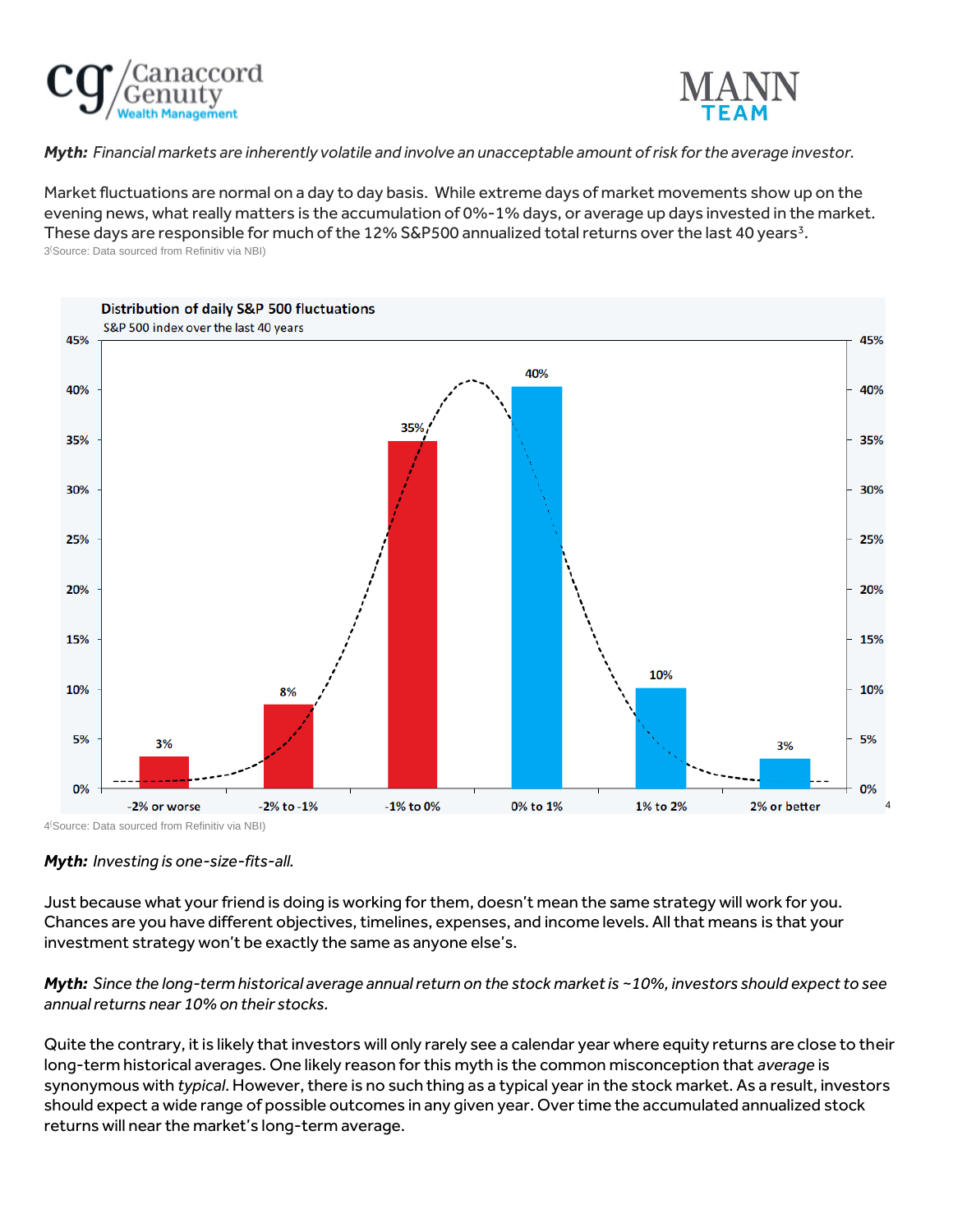



*Myth: Financial markets are inherently volatile and involve an unacceptable amount of risk for the average investor.* 

Market fluctuations are normal on a day to day basis. While extreme days of market movements show up on the evening news, what really matters is the accumulation of 0%-1% days, or average up days invested in the market. These days are responsible for much of the 12% S&P500 annualized total returns over the last 40 years<sup>3</sup>. 3 (Source: Data sourced from Refinitiv via NBI)



*Myth: Investing is one-size-fits-all.*

Just because what your friend is doing is working for them, doesn't mean the same strategy will work for you. Chances are you have different objectives, timelines, expenses, and income levels. All that means is that your investment strategy won't be exactly the same as anyone else's.

## *Myth: Since the long-term historical average annual return on the stock market is ~10%, investors should expect to see annual returns near 10% on their stocks.*

Quite the contrary, it is likely that investors will only rarely see a calendar year where equity returns are close to their long-term historical averages. One likely reason for this myth is the common misconception that *average* is synonymous with *typical*. However, there is no such thing as a typical year in the stock market. As a result, investors should expect a wide range of possible outcomes in any given year. Over time the accumulated annualized stock returns will near the market's long-term average.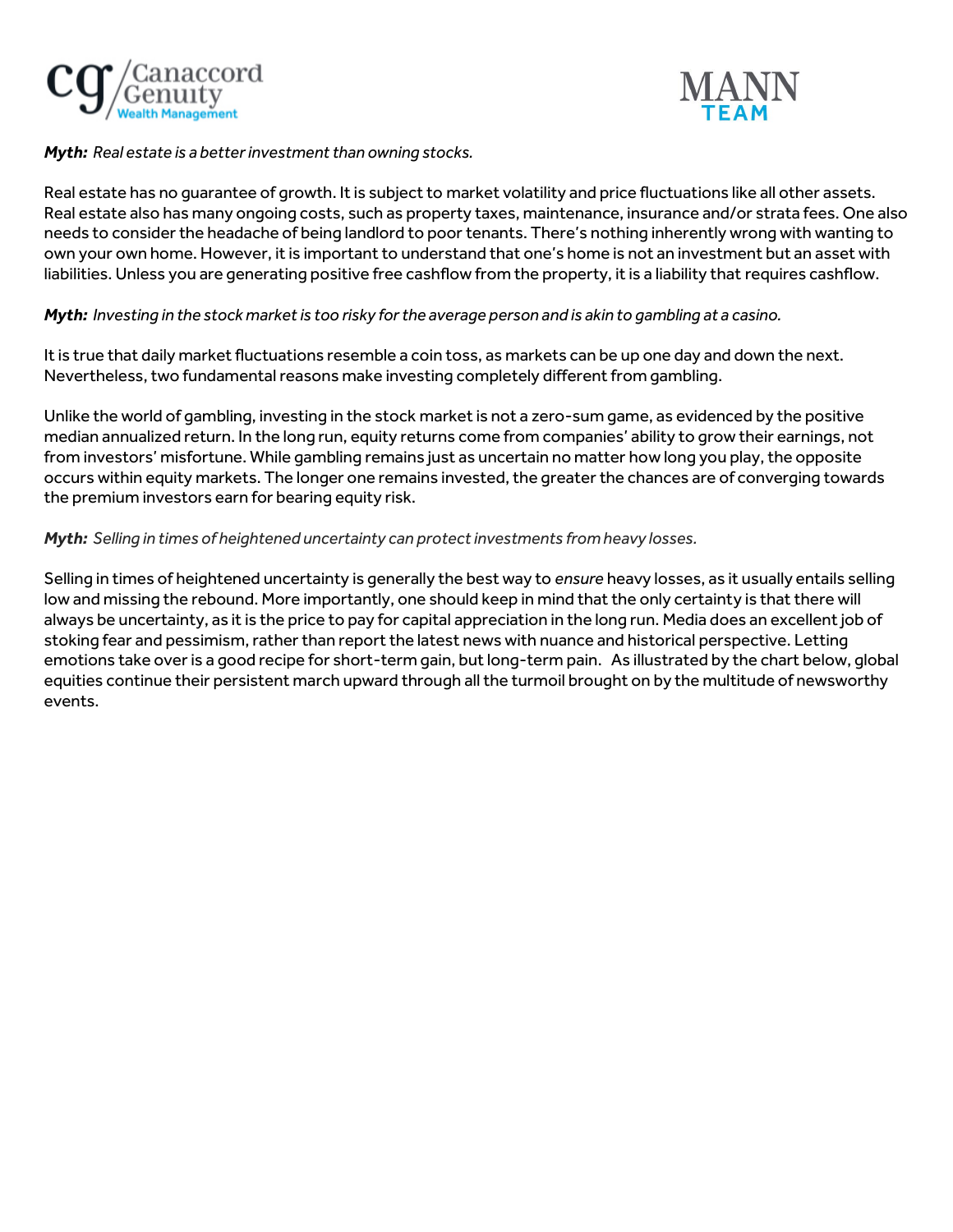



*Myth: Real estate is a better investment than owning stocks.*

Real estate has no guarantee of growth. It is subject to market volatility and price fluctuations like all other assets. Real estate also has many ongoing costs, such as property taxes, maintenance, insurance and/or strata fees. One also needs to consider the headache of being landlord to poor tenants. There's nothing inherently wrong with wanting to own your own home. However, it is important to understand that one's home is not an investment but an asset with liabilities. Unless you are generating positive free cashflow from the property, it is a liability that requires cashflow.

## *Myth: Investing in the stock market is too risky for the average person and is akin to gambling at a casino.*

It is true that daily market fluctuations resemble a coin toss, as markets can be up one day and down the next. Nevertheless, two fundamental reasons make investing completely different from gambling.

Unlike the world of gambling, investing in the stock market is not a zero-sum game, as evidenced by the positive median annualized return. In the long run, equity returns come from companies' ability to grow their earnings, not from investors' misfortune. While gambling remains just as uncertain no matter how long you play, the opposite occurs within equity markets. The longer one remains invested, the greater the chances are of converging towards the premium investors earn for bearing equity risk.

## *Myth: Selling in times of heightened uncertainty can protect investments from heavy losses.*

Selling in times of heightened uncertainty is generally the best way to *ensure* heavy losses, as it usually entails selling low and missing the rebound. More importantly, one should keep in mind that the only certainty is that there will always be uncertainty, as it is the price to pay for capital appreciation in the long run. Media does an excellent job of stoking fear and pessimism, rather than report the latest news with nuance and historical perspective. Letting emotions take over is a good recipe for short-term gain, but long-term pain. As illustrated by the chart below, global equities continue their persistent march upward through all the turmoil brought on by the multitude of newsworthy events.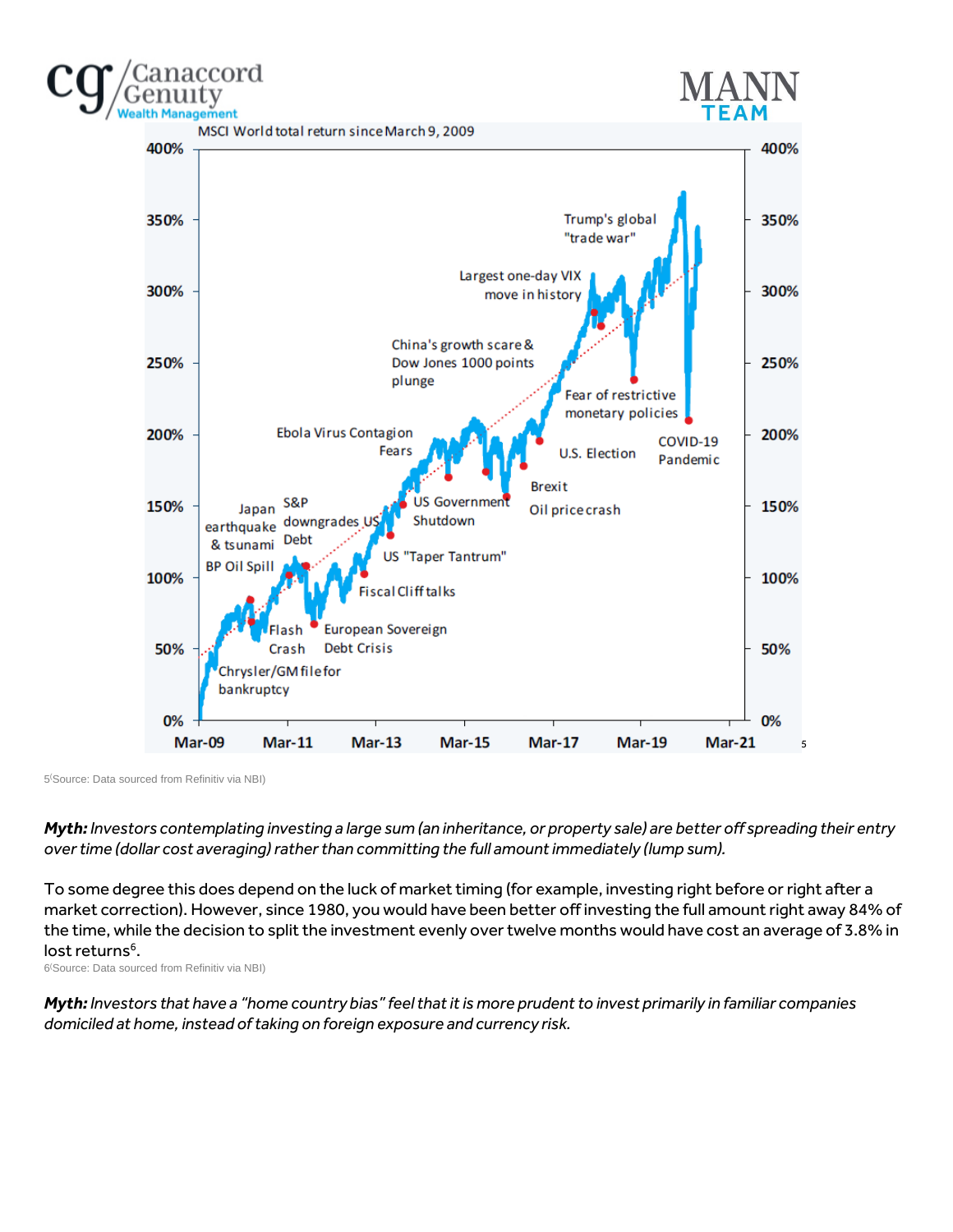

5 (Source: Data sourced from Refinitiv via NBI)

ccord

*Myth: Investors contemplating investing a large sum (an inheritance, or property sale) are better off spreading their entry over time (dollar cost averaging) rather than committing the full amount immediately (lump sum).*

To some degree this does depend on the luck of market timing (for example, investing right before or right after a market correction). However, since 1980, you would have been better off investing the full amount right away 84% of the time, while the decision to split the investment evenly over twelve months would have cost an average of 3.8% in lost returns<sup>6</sup>.

6 (Source: Data sourced from Refinitiv via NBI)

*Myth: Investors that have a "home country bias" feel that it is more prudent to invest primarily in familiar companies domiciled at home, instead of taking on foreign exposure and currency risk.*